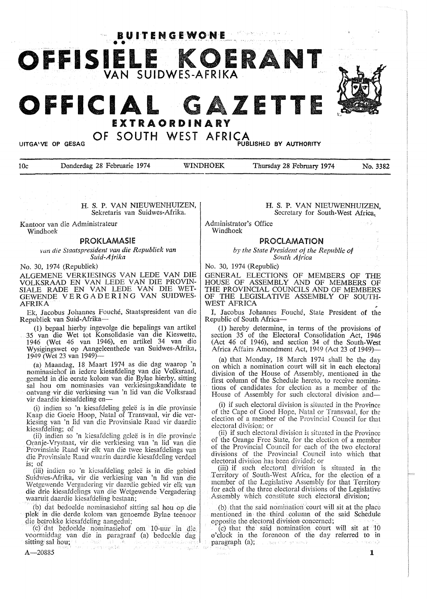**BUITENGEWONE** 



10c Donderdag 28 Februarie 1974 WINDHOEK Thursday 28 February 1974 No. 3382

H. S. P. VAN NIEUWENHUIZEN, Sekretaris van Suidwes-Afrika.

Kantoor van die Administrateur Windhoek

### PROKLAMASIE

*vun die Staatspresident van die Republiek van Suid-Afrika* 

No. 30, 1974 (Republiek)

ALGEMENE VERKIESINGS VAN LEDE VAN DIE VOLKSRAAD EN VAN LEDE VAN DIE PROVIN-SIALE RADE EN VAN LEDE VAN DIE WET-GEWENDE VERGADERING VAN SUIDWES-AFRIKA

Ek, Jacobus Johannes Fouche, Staatspresident van die Republiek van Suid-Afrika-

(1) bepaal hierby ingevolge die bepalings van artikel 35 van die Wet tot Konsolidasie van die Kieswette, 1946 (Wet 46 van 1946), en artikel 34 van die Wysigingswet op Aangeleenthede van Suidwes-Afrika, 1949 (Wet 23 van 1949)-

(a) Maandag, 18 Maart 1974 as die dag waarop 'n nominasiehof in iedere kiesafdeling van die VoJksraad, gemeld in. die eerste kolom van die Bylae hierby, sitting sal hou om nominasies van verkiesingskandidate te ontvang vir die verkiesing van 'n lid van die Volksraad vir daardie kiesafdeling en-

(i) indien so 'n kiesafdeling geiee is in die provinsie Kaap die Goeie Hoop, Natal of Transvaal, vir die verkiesing van 'n lid van die Provinsiale Raad vir daardie kiesafdeling; of

(ii) indien so 'n kiesafdeling geleë is in die provinsie Oranje-Vrystaat, vir die verkiesing van 'n lid van die Provinsiale Raad vir elk van die twee kiesafdelings van die Provinsiale Raad waarin daardie kicsafdeling verdee1 are Frownsian: Islam waarin daardie Kesandeling<br>is; of

(iii) indien so 'n kiesafdeling gelee is in die gebied Suidwes-Afrika, vir die verkiesing van 'n lid van die Wctgewcndc Vergadering vir daardie gebied vir elk van die drie kiesafdelings van die Wetgewende Vergadering waaruit daardie kiesafdeling bestaan;

(b) dat bedoelde nominasiehof sitting sal hou op die plek in die derde kolom van genoemde Bylae teenoor die betrokke kiesafdeling aangedui;

(cf dat bedoelde nominasiehof om 10-uur in die. voormiddag van die in paragraaf (a) bedoelde dag<br>sitting sal hou; sitting sal hou; - and the material contract of the second self-

### H. **S. P.** VAN NIEUWENHUIZEN, Secretary for South-West Africa,

Administrator's Office Windhoek

### **PROCLAMATION**

*by the State President of the Republic of South Africa* 

No. 30, 1974 (Republic)

GENERAL ELECTIONS OF MEMBERS OF TIIB HOUSE OF ASSEMBLY AND OF MEMBERS OF THE PROVINCIAL COUNCILS AND OF MEMBERS OF THE LEGISLATIVE ASSEMBLY OF SOUTH-WEST AFRICA

I, Jacobus Johannes Fouche, State President of the Republic of South Africa-

( I) hereby determine, in terms of the provisions of section 35 of the Electoral Consolidation Act, 1946 (Act 46 of 1946), and section 34 of the South-West Africa Affairs Amendment Act, 1949 (Act 23 of 1949)-

(a) that Monday, 18 March 1974 shall be the day on which a nomination court will sit in each electoral division of the House of Assembly, mentioned in the first column of the Schedule hereto, to receive nominations of candidates for election as a member of the House of Assembly for such electoral division and-

(i) if such electoral division is situated in the Province of the Cape of Good Hope, Natal or Transvaal, for the election of a member of the Provincial Council for that electoral division; or

(ii) if such electoral division is situated in the Province of the Orange Free State, for the election of a member of the Provincial Council for each of the two electoral divisions of the Provincial Council into which that electoral division has been divided; or

(iii) if such electoral division is situated in the Territory of South-West Africa, for the election of a member of the Legislative Assembly for that Territory for each of the three electoral divisions of the Legislative Assembly which constitute such electoral division;

(b) that the said nomination court will sit at the place mentioned in the third .column of the said Schedule opposite the electoral division concerned;

(c) that the said nomination court will sit at 10 o'clock in the forenoon of the day referred to in paragraph (a); surrounded and an interaction and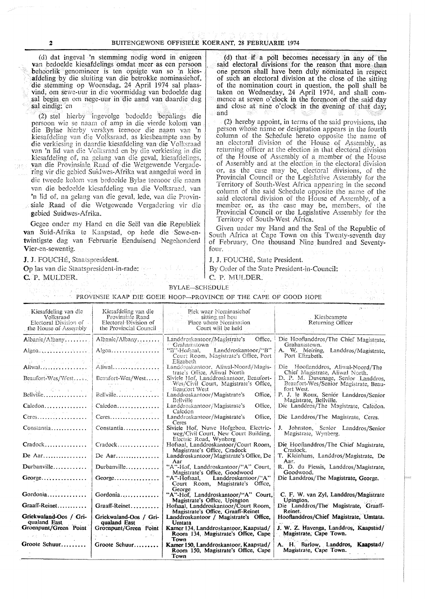#### 2 BU1TENGEWONE OFFISIELE KOERANT, 28 FEBRUARIE 1974

经典 网络复数 地名

(cl) dat ingeval 'n stemming nodig word in enigeen van bedoelde kiesafdelings omdat meer as een persoon behoorlik genomineer is ten opsigte van so 'n kiesafdeling by die sluiting van die betrokke nominasiehof, die stemming op Woensdag, 24 April 1974 sal plaasvind, om sewe-uur in die voormiddag van bedoe1de dag sal begin en om nege-uur in die aand van daardie dag sal eindig; en

 $(2)$  stel hierby ingevolge bedoelde bepalings die persoon wie se naam of amp in die vierde kolom van die Bylae hierby vcrskyn teenoor die naam van 'n kiesafdeling van die Volksraad, as kiesbeampte aan by van 'n lid van die Volksraad en by die verkiesing in die kiesafdeling of, na gelang van die geval, kiesafdelings, van die Provinsiale Raad of die Wetgewende Vergadering vir die gebicd Suidwes-Afrika wat aangedui word in die tweede kolom van bedoelde Bylae teenoor die naam van die bedoelde kiesafdeling van die Volksraad, van 'n lid of, na gelang van die geval, lede, van die Provinsiale Raad of die Wetgewende Vergadering vir die gebied Suidwes-Afrika.

Gegee onder my Hand en die Seël van die Republiek van Suid-Afrika te Kaapstad, op hede die Sewe-entwintigste dag van Februarie Eenduisend Negehonderd Vier-en-sewentig.

Op las van die Staatspresident-in-rade: By Order of the State President-in-Council:<br>C.P. MULDER. C. P. MULDER. C. P. L. P. L. P. L. P. L. P. L. C. P. MULDER. C. P. P. C. C. P. P. P. P. P. P. P. P. P.

(d) that if. a poll becomes necessary in any of the said electoral divisions for the reason that more than one person shall have. been duly nominated in respect of such an electoral division at the close of the sitting of the nomination court in question, the poll shall be taken on Wednesday, 24 April 1974, and shall commence at seven o'clock in the forenoon of the said day and close at nine o'clock in the evening of that day;

(2) hereby appoint, in terms of the said provisions, the person whose name or designation appears in the fourth column of the Schedule hereto opposite the name of an electoral division of the House of Assembly, as returning officer at the election in that electoral division of the House of Assembly of a member of the House of Assembly and at the election in the electoral division or, as the case may be, electoral divisions, of the Provincial Council or the Legislative Assembly for the Territory of South-West Africa appearing in the second column of the said Schedule opposite the name of the said electoral division of the House of Assembly, of a member or, as the case may be, members, of the Provincial Council or the Legislative Assembly for the Territory of South-West Africa.

Given under my Hand and the Seal of the Republic of South Africa at Cape Town on this Twenty-seventh day of February, One thousand Nine hundred and Seventyfour.

**GDED REA** 

#### J. J. FOUCHÉ, Staatspresident. J. J. FOUCHÉ, State President.

|                                                                                       |                                                                                                                                        | was ween the overs non-though of the call of Good hold                                                                       |                                                                              |
|---------------------------------------------------------------------------------------|----------------------------------------------------------------------------------------------------------------------------------------|------------------------------------------------------------------------------------------------------------------------------|------------------------------------------------------------------------------|
| Kiesafdeling van die<br>Volksraad<br>Electoral Division of -<br>the House of Assembly | Kiesafdeling van die<br>Provinsiale Raad<br>Electoral Division of<br>the Provincial Council                                            | <b>Rlek</b> waar Nominasiehof<br>sitting sal hou<br>Place where Nomination<br>Court will be held<br>en al Gregoria<br>القراب | py sales<br>Kiesbeampte<br>Returning Officer                                 |
| Albanie/Albany                                                                        | Albanie/Albany                                                                                                                         | Landdroskantoor/Magistrate's Office,<br>Grahamstown                                                                          | Die Hooflanddros/The Chief Magistrate,<br>Grahamstown.                       |
| Algoa                                                                                 | $Algoa$                                                                                                                                | "B"-Hofsaal,<br>Landdroskantoor/"B"<br>Court Room, Magistrate's Office, Port                                                 | A. W. Meiring, Landdros/Magistrate,<br>Port Elizabeth.                       |
| 출근 나는 아직 나라 나는 나라                                                                     | Anderson and the second service                                                                                                        | Elizabeth                                                                                                                    |                                                                              |
| Aliwal                                                                                | $\mathbb{A}$ liwal                                                                                                                     | Landdroskantoor, Aliwal-Noord/Magis-<br>trate's Office, Aliwal North                                                         | Die Hooflanddros, Aliwal-Noord/The<br>Chief Magistrate, Aliwal North.        |
| Beaufort-Wes/West<br>このあい しんりょうしき                                                     | Beaufort-Wes/West                                                                                                                      | Siviele Hof, Landdroskantoor, Beaufort-<br>Wes/Civil Court, Magistrate's Office,                                             | D. P. M. Duvenage, Senior Landdros,<br>Beaufort-Wes/Senior Magistrate, Beau- |
|                                                                                       | Bellville                                                                                                                              | Beaufort West                                                                                                                | fort West.                                                                   |
|                                                                                       |                                                                                                                                        | Landdroskantoor/Magistrate's<br>Office.<br><b>Bellville</b>                                                                  | P. J. le Roux, Senior Landdros/Senior<br>Magistrate, Bellville.              |
| $Calcdon \ldots \ldots$                                                               | $Calcdon \ldots$                                                                                                                       | Office.<br>Landdroskantoor/Magistrate's                                                                                      | Die Landdros/The Magistrate, Caledon.                                        |
| <b>Company Company</b><br>$Ceres \ldots$                                              | $\mathcal{A}=\mathcal{A}$ , and $\mathcal{A}=\mathcal{A}$ , and $\mathcal{A}=\mathcal{A}$ , and<br>$Ceres \ldots \ldots \ldots \ldots$ | Calcdon<br>Landdroskantoor/Magistrate's<br>Office,                                                                           | Die Landdros/The Magistrate, Ceres.                                          |
|                                                                                       |                                                                                                                                        | Ceres                                                                                                                        |                                                                              |
| Constantia                                                                            | Constantia                                                                                                                             | Siviele Hof, Nuwe Hofgebou, Electric-<br>weg/Civil Court, New Court Building,                                                | J. Johnston, Senior Landdros/Senior<br>Magistrate, Wynberg.                  |
| Cradock                                                                               | $Cradock$                                                                                                                              | Electric Road, Wynberg<br>Hofsaal, Landdroskantoor/Court Room,<br>Magistrate's Office, Cradock                               | Die Hooflanddros/The Chief Magistrate,<br>Cradock.                           |
| De Aar                                                                                | De Aar                                                                                                                                 | Landdroskantoor/Magistrate's Office, De<br>Aar                                                                               | T. Kleinhans, Landdros/Magistrate, De<br>Aar.                                |
| Durbanville                                                                           | Durbanville                                                                                                                            | "A"-Hof, Landdroskantoor/"A" Court,<br>Magistrate's Office, Goodwood                                                         | R. D. du Plessis, Landdros/Magistrate,<br>Goodwood.                          |
| $George$                                                                              | George                                                                                                                                 | "A"-Hofsaal,<br>Landdroskantoor/"A"                                                                                          | Die Landdros/The Magistrate, George.                                         |
|                                                                                       | a a shekara 1972.<br>Matukio                                                                                                           | Court Room, Magistrate's Office,                                                                                             |                                                                              |
| and the same of the same state<br>Gordonia                                            | Gordonian                                                                                                                              | George<br>"A"-Hof, Landdroskantoor/"A" Court,                                                                                | C. F. W. van Zyl, Landdros/Magistrate                                        |
|                                                                                       |                                                                                                                                        | Magistrate's Office, Upington                                                                                                | Upington.                                                                    |
| Graaff-Reinet                                                                         | Graaff-Reinet                                                                                                                          | Hofsaal, Landdroskantoor/Court Room,<br>Magistrate's Office, Graaff-Reinet                                                   | Die Landdros/The Magistrate, Graaff-<br>Reinet.                              |
| Griekwaland-Oos / Gri-                                                                | Griekwaland-Oos / Gri-                                                                                                                 | Landdroskantoor / Magistrate's Office,                                                                                       | Hooflanddros/Chief Magistrate, Umtata.                                       |
| qualand East                                                                          | qualand East                                                                                                                           | Umtata                                                                                                                       |                                                                              |
| Groenpunt/Green Point                                                                 | Groenpunt/Green Point                                                                                                                  | Kamer 134, Landdroskantoor, Kaapstad/<br>Room 134, Magistrate's Office, Cape                                                 | J. W. Z. Havenga, Landdros, Kaapstad/<br>Magistrate, Cape Town.              |
|                                                                                       | The Control                                                                                                                            | Town                                                                                                                         |                                                                              |
| Groote Schuur                                                                         | Groote Schuur                                                                                                                          | Kamer 150, Landdroskantoor, Kaapstad/<br>Room 150, Magistrate's Office, Cape                                                 | A. H. Barlow, Landdros, Kaapstad/<br>Magistrate, Cape Town.                  |

**Town** 

BYLAE-SCHEDULE PROVINSIE KAAP DIE GOEIE HOOP-PROVINCE OF THE CAPE OF GOOD HOPE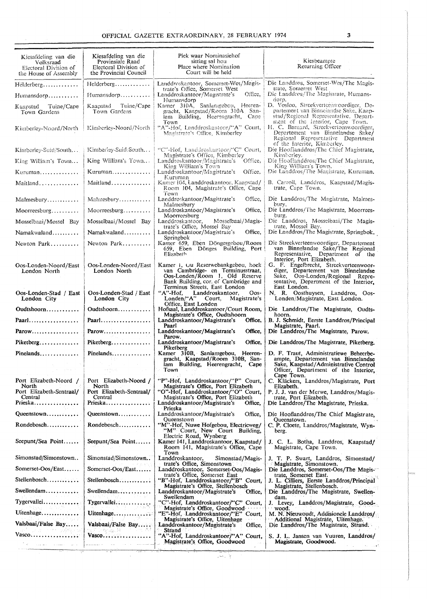| Kiesafdeling van die<br>Volksraad<br>Electoral Division of<br>the House of Assembly | Kiesafdeling van die<br>Provinsiale Raad<br>Electoral Division of<br>the Provincial Council | Piek waar Nominasiehof<br>sitting sal hou<br>Place where Nomination<br>Court will be held                                                         | Kiesbeampte<br>Returning Officer                                                                                                                                                       |
|-------------------------------------------------------------------------------------|---------------------------------------------------------------------------------------------|---------------------------------------------------------------------------------------------------------------------------------------------------|----------------------------------------------------------------------------------------------------------------------------------------------------------------------------------------|
| $H$ elderberg                                                                       | Helderberg                                                                                  | Landdroskantoor, Somerset-Wes/Magis-<br>trate's Office, Somerset West                                                                             | Die Landdros, Somerset-Wes/The Magis-<br>trate, Somerset West.                                                                                                                         |
| Humansdorp                                                                          | Humansdorp                                                                                  | Office,<br>Landdroskantoor/Magistrate's<br>Humansdorp                                                                                             | Die Landdros/The Magistrate, Humans-<br>dorp.                                                                                                                                          |
| Kaapstad Tuine/Cape<br>Town Gardens                                                 | Tuine/Cape<br>Kaapstad<br>Town Gardens                                                      | Kamer 310A, Sanlangebou, Heeren-<br>gracht, Kaapstad/Room 310A. San-<br>lam Building, Heerengracht, Cape                                          | D. Vosloo, Streekverteenwoordiger, De-<br>partement van Binneiandse Sake, Kaap-<br>stad/Regional Representative, Depart-<br>ment of the Interior, Cape Town.                           |
| Kimberley-Noord/North                                                               | Kimberley-Noord/North                                                                       | Town<br>"A"-Hof, Landdroskantoor/"A" Court,<br>Magistrate's Office, Kimberley                                                                     | H. C. Barnard, Streekverteenwoordiger,<br>Departement van Binnelandse Sake/<br>Regional Representative Department<br>of the Interior, Kimberley,                                       |
| Kimberley-Suid/South                                                                | Kimberley-Suid/South                                                                        | "C"-Hof, Landdroskantoor/"C" Court,                                                                                                               | Die Hooflanddros/The Chief Magistrate.<br>Kimborley.                                                                                                                                   |
| King William's Town                                                                 | King William's Town                                                                         | Magistrate's Office, Kimberley<br>Landdroskantoor/Magistrate's<br>Office,<br>King William's Town                                                  | Die Hooflanddros/The Chief Magistrate,<br>King William's Town.                                                                                                                         |
| $K$ uruman                                                                          | $K$ uruman                                                                                  | Office.<br>Landdroskantoor/Magistrate's<br>Kuruman                                                                                                | Die Landdros/The Magistrate, Kuruman.                                                                                                                                                  |
| Maitland                                                                            | Maitland                                                                                    | Kamer 104, Landdroskantoor, Kaapstad/<br>Room 104, Magistrate's Office, Cape<br>Town                                                              | B. Carroll, Landdros, Kaapstad/Magis-<br>trate, Cape Town.                                                                                                                             |
| Malmesbury                                                                          | $M$ almesbury                                                                               | Landdroskantoor/Magistrate's<br>Office,<br>Malmesbury                                                                                             | Die Landdros/The Magistrate, Malmes-<br>bury,                                                                                                                                          |
| $M$ oorreesburg                                                                     | $Moorreesburg \ldots$                                                                       | Landdroskantoor/Magistrate's<br>Office.<br>Moorreesburg                                                                                           | Die Landdros/The Magistrate, Moorrees-<br>burg.                                                                                                                                        |
| Mosselbaai/Mossel Bay                                                               | Mosselbaai/Mossel Bay                                                                       | Landdroskantoor,<br>Mosselbaai/Magis-<br>trate's Office, Mossel Bay                                                                               | Die Landdros, Mosselbaai/The Magis-<br>trate, Mossel Bay.                                                                                                                              |
| Namakwaland                                                                         | Namakwaland                                                                                 | Landdroskantoor/Magistrate's<br>Office.<br>Springbok                                                                                              | Die Landdros/The Magistrate, Springbok.                                                                                                                                                |
| Newton Park                                                                         | Newton Park                                                                                 | Kamer 659, Eben Döngesgebou/Room<br>659, Eben Dönges Building, Port<br>Elizabeth                                                                  | Die Streekverteenwoordiger, Departement<br>van Binnelandse Sake/The Regional<br>Representative, Department of the                                                                      |
| Oos-Londen-Noord/East<br>London North                                               | Oos-Londen-Noord/East<br>London North                                                       | Kamer 1, Ou Reserwebankgebou, hoek<br>van Cambridge- en Terminusstraat,<br>Oos-Londen/Room 1, Old Reserve<br>Bank Building, cor. of Cambridge and | Interior, Port Elizabeth.<br>G. F. Engelbrecht, Streekverteenwoor-<br>diger, Departement van Binnelandse<br>Sake, Oos-Londen/Regional Repre-<br>sentative, Department of the Interior, |
| Oos-Londen-Stad / East<br>London City                                               | Oos-Londen-Stad / East<br>London City                                                       | Terminus Streets, East London<br>"A"-Hof, Landdroskantoor,<br>Oos-<br>$London/fA''$ Court,<br>Magistrate's                                        | East London.<br>N. R. Oosthuysen, Landdros, Oos-<br>Londen/Magistrate, East London.                                                                                                    |
| Oudtshoorn                                                                          | Oudtshoorn                                                                                  | Office, East Londen<br>Hofsaal, Landdroskantoor/Court Room,                                                                                       | Die Landdros/The Magistrate, Oudts-                                                                                                                                                    |
| Paarl                                                                               | Paarl                                                                                       | Magistrate's Office, Oudtshoorn<br>Landdroskantoor/Magistrate's<br>Office.                                                                        | hoorn.<br>B. J. Schmidt, Eerste Landdros/Principal                                                                                                                                     |
| Parow                                                                               | $Parow \ldots \ldots$                                                                       | Paarl<br>Landdroskantoor/Magistrate's<br>Office,<br>Parow.                                                                                        | Magistrate, Paarl.<br>Die Landdros/The Magistrate, Parow.                                                                                                                              |
| Piketberg                                                                           | Piketberg                                                                                   | Landdroskantoor/Magistrate's<br>Office,<br>Piketberg                                                                                              | Die Landdros/The Magistrate, Piketberg,                                                                                                                                                |
| $Pinelands \dots \dots \dots \dots$                                                 | $Pinelands \ldots  \ldots$                                                                  | Kamer 310B, Saniamgebou, Heeren-<br>gracht, Kaapstad/Room 310B, San-<br>lam Building, Heerengracht, Cape                                          | D. F. Traut, Administratiewe Beheerbe-<br>ampte, Departement van Binnelandse<br>Sake, Kaapstad/Administrative Control                                                                  |
| and a program<br>Port Elizabeth-Noord /                                             | $\sim 2^{-3/2}$ , $\sim$ ,<br>Port Elizabeth-Noord /                                        | Town<br>"P"-Hof, Landdroskantoor/"P" Court,                                                                                                       | Officer, Department of the Interior,<br>Cape Town.<br>C. Kläckers, Landdros/Magistrate, Port                                                                                           |
| North<br>Port Elizabeth-Sentraal/                                                   | North<br>Port Elizabeth-Sentraal/                                                           | Magistrate's Office, Port Elizabeth<br>"O"-Hof, Landdroskantoor/"O" Court,                                                                        | Elizabeth.<br>P. J. J. van der Merwe, Landdros/Magis-                                                                                                                                  |
| Central<br>Prieska                                                                  | Central<br>Prieska                                                                          | Magistrate's Office, Port Elizabeth                                                                                                               | trate, Port Elizabeth,                                                                                                                                                                 |
| Queenstown                                                                          | Queenstown                                                                                  | Landdroskantoor/Magistrate's<br>Office,<br>Prieska                                                                                                | Die Landdros/The Magistrate, Prieska.                                                                                                                                                  |
| $R$ ondebosch                                                                       | $R$ ondebosch                                                                               | Landdroskantoor/Magistrate's<br>Office.<br>Queenstown<br>"M"-Hof, Nuwe Hofgebou, Electricweg/                                                     | Die Hooflanddros/The Chief Magistrate,<br>Queenstown.                                                                                                                                  |
| Seepunt/Sea Point                                                                   | Seepunt/Sea Point                                                                           | "M" Court, New Court Building,<br>Electric Road, Wynberg<br>Kamer 141, Landdroskantoor, Kaapstad/                                                 | C. P. Cloete, Landdros/Magistrate, Wyn-<br>berg.<br>J. C. L. Botha, Landdros, Kaapstad/                                                                                                |
|                                                                                     |                                                                                             | Room 141, Magistrate's Office, Cape<br>Town                                                                                                       | Magistrate, Cape Town.                                                                                                                                                                 |
| Simonstad/Simonstown                                                                | Simonstad/Simonstown                                                                        | Landdroskantoor,<br>Simonstad/Magis-<br>trate's Office, Simonstown                                                                                | J. T. P. Swart, Landdros, Simonstad/<br>Magistrate, Simonstown.                                                                                                                        |
| Somerset-Oos/East                                                                   | Somerset-Oos/East                                                                           | Landdroskantoor, Somerset-Oos/Magis-<br>trate's Office, Somerset East                                                                             | Die Landdros, Somerset-Oos/The Magis-<br>trate, Somerset East.                                                                                                                         |
| Stellenbosch                                                                        | Stellenbosch                                                                                | "B"-Hof, Landdroskantoor/"B" Court,<br>Magistrate's Office, Stellenbosch                                                                          | J. L. Cilliers, Eerste Landdros/Principal<br>Magistrate, Stellenbosch.<br>وتاسا الناسي                                                                                                 |
| Swellendam                                                                          | Swellendam                                                                                  | Landdroskantoor/Magistrate's<br>Office.<br>Swellendam                                                                                             | Die Landdros/The Magistrate, Swellen-<br>dam.                                                                                                                                          |
| Tygervallei                                                                         | Tygervallei                                                                                 | "C"-Hof, Landdroskantoor/"C" Court,<br>Magistrate's Office, Goodwood                                                                              | J. Levey, Landdros/Magistrate, Good-<br>wood.                                                                                                                                          |
| Uitenhage                                                                           | Uitenhage                                                                                   | "E"-Hof, Landdroskantoor/"E" Court,<br>Magistrate's Office, Uitenhage                                                                             | M. N. Nieuwoudt, Addisionele Landdros/<br>Additional Magistrate, Uitenhage.                                                                                                            |
| Valsbaai/False Bay                                                                  | Valsbaai/False Bay<br>化芳酮碱盐 蛛 计下向图式表                                                        | Landdroskantoor/Magistrate's<br>Office,<br><b>Strand</b>                                                                                          | Die Landdros/The Magistrate, Strand.                                                                                                                                                   |
|                                                                                     | Vasco                                                                                       | "A"-Hof, Landdroskantoor/"A" Court,<br>Magistrate's Office, Goodwood                                                                              | S. J. L. Jansen van Vuuren, Landdros/<br>Magistrate, Goodwood.                                                                                                                         |
| $\sim$ 100 meV $\sim$ 100 meV $\sim$ 100 meV $\sim$                                 | المتحدد المنادين المتحدث والمتنقص                                                           |                                                                                                                                                   |                                                                                                                                                                                        |
|                                                                                     |                                                                                             | الإن الراجعين                                                                                                                                     |                                                                                                                                                                                        |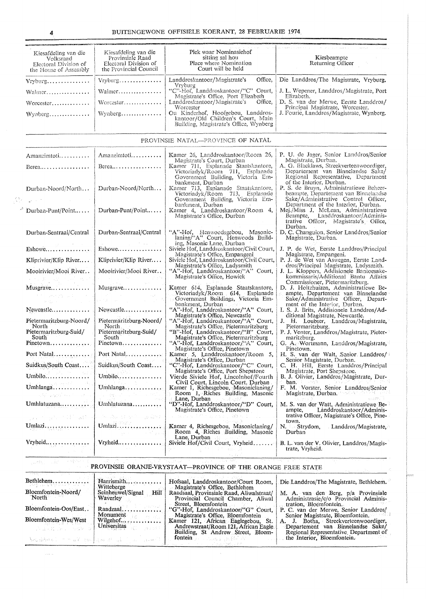| Kiesafdeling van die<br>Volksraad<br>Electoral Division of<br>the House of Assembly                                                                                                                                                                                                                                                                                                                                                                           | Kiesafdeling van die<br>Provinsiale Raad<br>Electoral Division of<br>the Provincial Council                                                                                                                                                                                                                                                                                                      | Plek waar Nominasiehof<br>sitting sal hou<br>Place where Nomination<br>Court will be held                          | Kiesbeampte<br>Returning Officer                                                                                         |
|---------------------------------------------------------------------------------------------------------------------------------------------------------------------------------------------------------------------------------------------------------------------------------------------------------------------------------------------------------------------------------------------------------------------------------------------------------------|--------------------------------------------------------------------------------------------------------------------------------------------------------------------------------------------------------------------------------------------------------------------------------------------------------------------------------------------------------------------------------------------------|--------------------------------------------------------------------------------------------------------------------|--------------------------------------------------------------------------------------------------------------------------|
| Vryburg                                                                                                                                                                                                                                                                                                                                                                                                                                                       | Vryburg                                                                                                                                                                                                                                                                                                                                                                                          | Office,<br>Landdroskantoor/Magistrate's                                                                            | Die Landdros/The Magistrate, Vryburg.                                                                                    |
| Walmer                                                                                                                                                                                                                                                                                                                                                                                                                                                        | Walmer                                                                                                                                                                                                                                                                                                                                                                                           | Vryburg<br>"C"-Hof, Landdroskantoor/"C" Court,                                                                     | J. L. Wepener, Landdros/Magistrate, Port                                                                                 |
| Worcester                                                                                                                                                                                                                                                                                                                                                                                                                                                     | Worcester                                                                                                                                                                                                                                                                                                                                                                                        | Magistrate's Office, Port Elizabeth<br>Landdroskantoor/Magistrate's<br>Office.                                     | Elizabeth.<br>D. S. van der Merwe, Eerste Landdros/                                                                      |
|                                                                                                                                                                                                                                                                                                                                                                                                                                                               |                                                                                                                                                                                                                                                                                                                                                                                                  | Worcester                                                                                                          | Principal Magistrate, Worcester.<br>J. Fourie, Landdros/Magistrate, Wynberg.                                             |
| Wynberg                                                                                                                                                                                                                                                                                                                                                                                                                                                       | Wynberg                                                                                                                                                                                                                                                                                                                                                                                          | Ou Kinderhof, Hoofgebou, Landdros-<br>kantoor/Old Children's Court, Main<br>Building, Magistrate's Office, Wynberg |                                                                                                                          |
|                                                                                                                                                                                                                                                                                                                                                                                                                                                               |                                                                                                                                                                                                                                                                                                                                                                                                  | PROVINSIE NATAL-PROVINCE OF NATAL                                                                                  |                                                                                                                          |
| Amanzimtoti                                                                                                                                                                                                                                                                                                                                                                                                                                                   | Amanzimtoti                                                                                                                                                                                                                                                                                                                                                                                      | Kamer 26, Landdroskantoor/Room 26,<br>Magistrate's Court, Durban                                                   | P. U. de Jager, Senior Landdros/Senior<br>Magistrate, Durban.                                                            |
| Berea                                                                                                                                                                                                                                                                                                                                                                                                                                                         | Berea                                                                                                                                                                                                                                                                                                                                                                                            | Kamer 711, Esplanade Staatskantore,<br>Victoriadyk/Room 711, Esplanade<br>Government Building, Victoria Em-        | A. G. Blacklaws, Streekverteenwoordiger,<br>Departement van Binnelandse Sake/<br>Regional Representative, Department     |
| Durban-Noord/North                                                                                                                                                                                                                                                                                                                                                                                                                                            | Durban-Noord/North                                                                                                                                                                                                                                                                                                                                                                               | bankment, Durban<br>Kamer 713, Esplanade Staatskantore,<br>Victoriadyk/Room 713, Esplanade                         | of the Interior, Durban.<br>P. S. de Bruyn, Administratiewe Beheer-<br>beampte, Departement van Binnelandse              |
| $\sim$ $\sim$                                                                                                                                                                                                                                                                                                                                                                                                                                                 |                                                                                                                                                                                                                                                                                                                                                                                                  | Government Building, Victoria Em-<br>bankment, Durban                                                              | Sake/Administrative Control Officer,<br>Department of the Interior, Durban.                                              |
| цÔ,<br>Durban-Punt/Point                                                                                                                                                                                                                                                                                                                                                                                                                                      | Durban-Punt/Point                                                                                                                                                                                                                                                                                                                                                                                | Kamer 4, Landdroskantoor/Room 4, Magistrate's Office, Durban                                                       | Mej./Miss J. McLean, Administratiewe<br>Beampte, Landdroskantoor/Administrative Officer, Magistrate's Office,<br>Durban. |
| Durban-Sentraal/Central                                                                                                                                                                                                                                                                                                                                                                                                                                       | Durban-Sentraal/Central                                                                                                                                                                                                                                                                                                                                                                          | "A"-Hof, Henwoodsgebou, Masonic-<br>laning/"A" Court, Henwoods Build-                                              | D. C. Changuion, Senior Landdros/Senior<br>Magistrate, Durban.                                                           |
| $Eshowe$                                                                                                                                                                                                                                                                                                                                                                                                                                                      | $\mathcal{L}_{\rm{max}}$ , we can be an<br>Eshowe                                                                                                                                                                                                                                                                                                                                                | ing, Masonic Lane, Durban<br>Siviele Hof, Landdroskantoor/Civil Court,                                             | J. P. de Wet, Eerste Landdros/Principal                                                                                  |
| Kliprivier/Klip River                                                                                                                                                                                                                                                                                                                                                                                                                                         | Kliprivier/Klip River                                                                                                                                                                                                                                                                                                                                                                            | Magistrate's Office, Empangeni<br>Siviele Hof, Landdroskantoor/Civil Court,                                        | Magistrate, Empangeni.<br>P. J. de Wet van Aswegen, Eerste Land-                                                         |
| Mooirivier/Mooi River<br>and providers and state                                                                                                                                                                                                                                                                                                                                                                                                              | Mooirivier/Mooi River                                                                                                                                                                                                                                                                                                                                                                            | Magistrate's Office, Ladysmith<br>"A"-Hof, Landdroskantoor/"A" Court,<br>Magistrate's Office, Howick               | dros/Principal Magistrate, Ladysmith.<br>J. L. Kloppers, Addisionele Bantoesake-<br>kommissaris/Additional Bantu Affairs |
| Musgrave                                                                                                                                                                                                                                                                                                                                                                                                                                                      | Musgrave                                                                                                                                                                                                                                                                                                                                                                                         | Kamer 614, Esplanade Staatskantore,                                                                                | Commissioner, Pietermaritzburg.<br>D. J. Holtzhuizen, Administratiewe Be-                                                |
| $\label{eq:2.1} \begin{split} \mathcal{F}^{(2)}&=\rho\exp(\rho\frac{\pi}{2})\left[\frac{1}{\rho}\left(1-\frac{\pi}{2}\right)\right]\rho\,, \end{split}$                                                                                                                                                                                                                                                                                                       | $\label{eq:2.1} \begin{split} \mathcal{L}^{(1)}(z) &= \mathcal{L}^{(1)}(z) \\ \mathcal{L}^{(1)}(z) &= \mathcal{L}^{(1)}(z) \\ \mathcal{L}^{(2)}(z) &= \mathcal{L}^{(1)}(z) \\ \mathcal{L}^{(2)}(z) &= \mathcal{L}^{(1)}(z) \\ \mathcal{L}^{(1)}(z) &= \mathcal{L}^{(1)}(z) \\ \mathcal{L}^{(2)}(z) &= \mathcal{L}^{(1)}(z) \\ \mathcal{L}^{(1)}(z) &= \mathcal{L}^{(1)}(z) \\ \mathcal{L}^{(2)}$ | Victoriadyk/Room 614, Esplanade<br>Government Buildings, Victoria Em-                                              | ampte, Departement van Binnelandse<br>Sake/Administrative Officer, Depart-                                               |
| Newcastle                                                                                                                                                                                                                                                                                                                                                                                                                                                     | Newcastle                                                                                                                                                                                                                                                                                                                                                                                        | bankment, Durban<br>"A"-Hof, Landdroskantoor/"A" Court,                                                            | ment of the Interior, Durban.<br>I. S. J. Brits, Addisionele Landdros/Ad-                                                |
| Pietermaritzburg-Noord/                                                                                                                                                                                                                                                                                                                                                                                                                                       | Pietermaritzburg-Noord/                                                                                                                                                                                                                                                                                                                                                                          | Magistrate's Office, Newcastle<br>"A"-Hof, Landdroskantoor/"A" Court,                                              | ditional Magistrate, Newcastle.<br>J. H. Loubser, Landdros/Magistrate,                                                   |
| North<br>Pietermaritzburg-Suid/                                                                                                                                                                                                                                                                                                                                                                                                                               | North.<br>Pietermaritzburg-Suid/                                                                                                                                                                                                                                                                                                                                                                 | Magistrate's Office, Pietermaritzburg<br>"B"-Hof, Landdroskantoor/"B" Court,                                       | Pietermaritzburg.<br>P. J. Venter, Landdros/Magistrate, Pieter-                                                          |
| South<br>Pinetown                                                                                                                                                                                                                                                                                                                                                                                                                                             | South<br>Pinetown                                                                                                                                                                                                                                                                                                                                                                                | Magistrate's Office, Pietermaritzburg<br>"A"-Hof, Landdroskantoor/"A" Court,                                       | maritzburg.<br>G. A. Wortmann, Landdros/Magistrate,                                                                      |
| Port Natal                                                                                                                                                                                                                                                                                                                                                                                                                                                    | Port Natal                                                                                                                                                                                                                                                                                                                                                                                       | Magistrate's Office, Pinetown<br>Kamer 5, Landdroskantoor/Room 5,                                                  | Pinetown.<br>H. S. van der Walt, Senior Landdros/                                                                        |
| Suidkus/South Coast                                                                                                                                                                                                                                                                                                                                                                                                                                           | Suidkus/South Coast                                                                                                                                                                                                                                                                                                                                                                              | Magistrate's Office, Durban<br>"C"-Hof, Landdroskantoor/"C" Court,                                                 | Senior Magistrate, Durban.<br>C. H. Hill, Eerste Landdros/Principal                                                      |
| Umbilo                                                                                                                                                                                                                                                                                                                                                                                                                                                        | Umbilo                                                                                                                                                                                                                                                                                                                                                                                           | Magistrate's Office, Port Shepstone<br>Vierde Siviele Hof. Lincolnhof/Fourth                                       | Magistrate, Port Shepstone.<br>B. J. Olivier, Landdros/Magistrate, Dur-                                                  |
| Umhlanga<br>$\label{eq:2.1} \left\langle \psi_{\ell}^{(L)}\psi_{\ell}^{(L)}\right\rangle_{\mathcal{C}}\left\langle \psi_{\ell}^{(L)}\right\rangle_{\mathcal{C}}\left\langle \psi_{\ell}^{(L)}\right\rangle_{\mathcal{C}}\left\langle \psi_{\ell}^{(L)}\right\rangle_{\mathcal{C}}\left\langle \psi_{\ell}^{(L)}\right\rangle_{\mathcal{C}}\left\langle \psi_{\ell}^{(L)}\right\rangle_{\mathcal{C}}\left\langle \psi_{\ell}^{(L)}\right\rangle_{\mathcal{C}}$ | Umhlanga                                                                                                                                                                                                                                                                                                                                                                                         | Civil Court, Lincoln Court, Durban<br>Kamer 1, Richesgebou, Masoniclaning/<br>Room 1, Riches Building, Masonic     | ban.<br>F. M. Vorster, Senior Landdros/Senior<br>Magistrate, Durban, and a state                                         |
| Umhlatuzana                                                                                                                                                                                                                                                                                                                                                                                                                                                   | Umhlatuzana                                                                                                                                                                                                                                                                                                                                                                                      | Lane, Durban<br>oval asia<br>"D"-Hof, Landdroskantoor/"D" Court,<br>Magistrate's Office, Pinetown                  | M. S. van der Watt, Administratiewe Be-<br>Landdroskantoor/Adminis-<br>ampte.                                            |
| Jacob Richard Board                                                                                                                                                                                                                                                                                                                                                                                                                                           | Southern House (2014)                                                                                                                                                                                                                                                                                                                                                                            | 医白斑 医左手精子 电计算机 医静脉 法                                                                                               | trative Officer, Magistrate's Office, Pine-<br>town.                                                                     |
| Umlazi                                                                                                                                                                                                                                                                                                                                                                                                                                                        | Umlazi<br><b>Contract</b><br>and the process of                                                                                                                                                                                                                                                                                                                                                  | Kamer 4, Richesgebou, Masoniclaning/<br>Room 4, Riches Building, Masonic<br>Lane. Durban                           | N. Strydom, Landdros/Magistrate,<br>Durban                                                                               |
| Vryheid                                                                                                                                                                                                                                                                                                                                                                                                                                                       | Vryheid                                                                                                                                                                                                                                                                                                                                                                                          | Siviele Hof/Civil Court, Vryheid<br>Advertised the<br>$\lambda$ , $\lambda$ , $\lambda$                            | B. L. van der V. Olivier, Landdros/Magis-<br>trate, Vryheid.                                                             |
|                                                                                                                                                                                                                                                                                                                                                                                                                                                               |                                                                                                                                                                                                                                                                                                                                                                                                  |                                                                                                                    |                                                                                                                          |

# PROVINSIE ORANJE-VRYSTAAT-PROVINCE OF THE ORANGE FREE STATE

| Bethlehem                        | Harrismith<br>Witteberge                                              | Hofsaal, Landdroskantoor/Court Room,                                                                                                | Die Landdros/The Magistrate, Bethlehem.                                                                       |
|----------------------------------|-----------------------------------------------------------------------|-------------------------------------------------------------------------------------------------------------------------------------|---------------------------------------------------------------------------------------------------------------|
| Bloemfontein-Noord/<br>North No. | Seinheuwel/Signal<br>Hill<br>Waverley                                 | Magistrate's Office, Bethlehem<br>Raadsaal, Provinsiale Raad, Aliwalstraat/<br>Provincial Council Chamber, Aliwal                   | M. A. van den Berg, p/a Provinsiale<br>Administrasie/c/o Provincial Adminis-                                  |
| Bloemfontein-Oos/East            | Raadzaal                                                              | Street. Bloemfontein<br>"G"-Hof, Landdroskantoor/"G" Court.                                                                         | tration, Bloemfontein.<br>P. C. van der Merwe, Senior Landdros/                                               |
| Bloemfontein-Wes/West            | Monument<br>Wilgehof                                                  | Magistrate's Office. Bloemfontein<br>Kamer 121, African Eaglegebou, St.<br>Andrewstraat/Room 121, African Eagle                     | Senior Magistrate, Bloemfontein.<br>A. J. Botha, Streekverteenwoordiger,<br>Departement van Binnelandse Sake/ |
| Any and the same manufactured    | <b>Universitas</b><br>Ascabbes ( ) wall and how that ( ) are proved [ | Building, St Andrew Street, Bloem-<br>fontein $\mathcal{L} = \{ \mathcal{L} \in \mathbb{R}^n : \mathbb{R}^n \times \mathbb{R}^n \}$ | Regional Representative Department of<br>the Interior, Bloemfontein.                                          |
|                                  |                                                                       |                                                                                                                                     |                                                                                                               |

 $\sim$ 

 $\rho$  are  $\rho$  and  $\sigma$ 

 $\sim$   $\sim$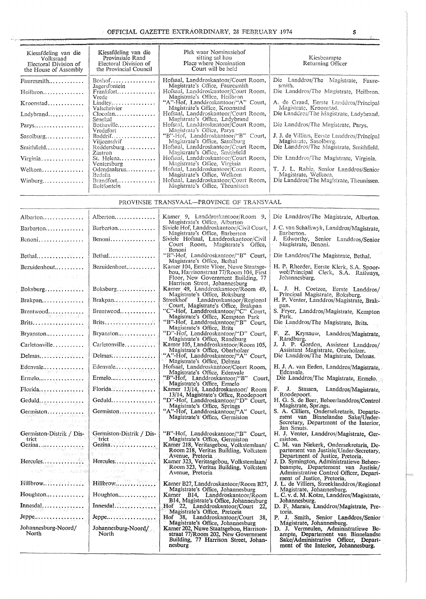## OFFICIAL GAZETTE EXTRAORDINARY, 28 FEBRUARY 1974 5

| Kiesafdeling van die<br>Volksraad<br>Electoral Division of<br>the House of Assembly | Kiesafdeling van die<br>Provinsiale Raad<br>Electoral Division of<br>the Provincial Council | Plek waar Nominasiehof<br>sitting sal hou<br>Place where Nomination<br>Court will be held | Kiesbeampte<br>Returning Officer                                       |
|-------------------------------------------------------------------------------------|---------------------------------------------------------------------------------------------|-------------------------------------------------------------------------------------------|------------------------------------------------------------------------|
| Fauresmith                                                                          | $Boshof$                                                                                    | Hofsaal, Landdroskantoor/Court Room,<br>Magistrate's Office, Fauresmith                   | Die Landdros/The Magistrate, Faure-<br>smith.                          |
|                                                                                     | Jagersfontein<br>Frankfort<br>Vrede                                                         | Hofsaal, Landdroskantoor/Court Room,<br>Magistrate's Office, Heilbron                     | Die Landdros/The Magistrate, Heilbron.                                 |
| $K$ roonstad                                                                        | Lindley<br>Valschrivier                                                                     | "A"-Hof, Landdroskantoor/"A" Court,<br>Magistrate's Office, Kroonstad                     | A. de Graad, Eerste Landdros/Principal<br>Magistrate, Kroonstad.       |
| Ladybrand                                                                           | Clocalan<br>Senekal                                                                         | Hofsaal, Landdroskantoor/Court Room,<br>Magistrate's Office, Ladybrand                    | Die Landdros/The Magistrate, Ladybrand.                                |
| $Parys \ldots \ldots \ldots$                                                        | Bothaville<br>Vredefort                                                                     | Hofsaal, Landdroskantoor/Court Room,<br>Magistrate's Office, Parys                        | Die Landdros/The Magistrate, Parys.                                    |
| $Sasolving \ldots$                                                                  | Baddrif<br>Vilioensdrif                                                                     | "B"-Hof, Landdroskantoor/"B" Court,<br>Magistrate's Office, Sasolburg                     | J. J. de Villiers, Eerste Landdros/Principal<br>Magistrate, Sasolburg. |
|                                                                                     | $Reddersburg$<br>Zastron                                                                    | Hofsaal, Landdroskantoor/Court Room,<br>Magistrate's Office, Smithfield                   | Die Landdros/The Magistrate, Smithfield.                               |
| Virginia                                                                            | St. Helena<br>Ventersburg<br><b>Contract Contract</b>                                       | Hofsaal, Landdroskantoor/Court Room,<br>Magistrate's Office, Virginia                     | Die Landdros/The Magistrate, Virginia.                                 |
| Welkom                                                                              | Odendaalsrus<br>Bedelia                                                                     | Hofsaal, Landdroskantoor/Court Room,<br>Magistrate's Office, Welkom                       | T. J. L. Rabie, Senior Landdros/Senior<br>Magistrate, Welkom.          |
| Winburg                                                                             | Brandfort<br>Bultfontein                                                                    | Hofsaal, Landdroskantoor/Court Room,<br>Magistrate's Office, Theunissen                   | Die Landdros/The Magistrate, Theunissen.                               |

### PROVINSIE TRANSVAAL-PROVINCE OF TRANSVAAL

| Alberton                                                       | Alberton                                                                                                                                        | Kamer 9, Landdroskantoor/Room 9,<br>Magistrate's Office, Alberton                                                    | Die Landdros/The Magistrate, Alberton.                                                                             |
|----------------------------------------------------------------|-------------------------------------------------------------------------------------------------------------------------------------------------|----------------------------------------------------------------------------------------------------------------------|--------------------------------------------------------------------------------------------------------------------|
| $Barberton \ldots \ldots$                                      | Barberton                                                                                                                                       | Siviele Hof, Landdroskantoor/Civil Court,<br>Magistrate's Office. Barberton                                          | J. C. van Schalkwyk, Landdros/Magistrate,<br>Barberton.                                                            |
| Benoni                                                         | $Benoni \ldots \ldots \ldots \ldots$                                                                                                            | Siviele Hofsaal, Landdroskantoor/Civil<br>Court Room, Magistrate's Office,                                           | J. Edworthy, Senior Landdros/Senior<br>Magistrate, Benoni.                                                         |
|                                                                |                                                                                                                                                 | Benoni                                                                                                               |                                                                                                                    |
| Bethal                                                         | Bethal                                                                                                                                          | "B"-Hof, Landdroskantoor/"B" Court,<br>Magistrate's Office, Bethal                                                   | Die Landdros/The Magistrate, Bethal.                                                                               |
| Bezuidenhout                                                   | Bezuidenhout                                                                                                                                    | Kamer 104, Eerste Vloer, Nuwe Staatsge-<br>bou, Harrisonstraat 77/Room 104, First                                    | H. P. Rheeder, Eerste Klerk, S.A. Spoor-                                                                           |
| 医骨骨的 医自动的                                                      | <b>Contract Contract Part</b>                                                                                                                   | Floor, New Government Building, 77                                                                                   | weë/Principal Clerk, S.Á. Railways,<br>Johannesburg.                                                               |
| Boksburg                                                       | Boksburg<br>quadr                                                                                                                               | Harrison Street, Johannesburg<br>Kamer 49, Landdroskantoor/Room 49,                                                  | L. J. H. Coetzee, Eerste Landdros/                                                                                 |
| Brakpan                                                        | Brakpan                                                                                                                                         | Magistrate's Office, Boksburg<br>Streekhof Landdroskantoor/Regional                                                  | Principal Magistrate, Boksburg.<br>H. P. Venter, Landdros/Magistrate, Brak-                                        |
| $B$ rentwood                                                   | Brentwood                                                                                                                                       | Court, Magistrate's Office, Brakpan<br>"C"-Hof, Landdroskantoor/"C" Court,                                           | pan.<br>S. Fryer, Landdros/Magistrate, Kempton                                                                     |
| 그는 어디로 말했다. 화재 이 거야 되나?<br>Brits.                              | アドバスチャー 美しょう しゅんし<br>그의 문화별의                                                                                                                    | Magistrate's Office, Kempton Park<br>"B"-Hof, Landdroskantoor/"B" Court,                                             | Park.<br>Die Landdros/The Magistrate, Brits.                                                                       |
| Bryanston                                                      | Bryanston<br>计过程控制                                                                                                                              | Magistrate's Office, Brits<br>"D"-Hof, Landdroskantoor/"D" Court,                                                    | F. Z. Krynauw, Landdros/Magistrate,                                                                                |
| $Carlet onville \ldots$                                        | Carletonville                                                                                                                                   | Magistrate's Office, Randburg<br>Kamer 105, Landdroskantoor/Room 105,                                                | Randburg.<br>J. J. P. Gordon, Assistent Landdros/                                                                  |
| $Delmas$ $\dots$ $\dots$ $\dots$                               |                                                                                                                                                 | Magistrate's Office, Oberholzer<br>"A"-Hof, Landdroskantoor/"A" Court,                                               | Assistant Magistrate, Oberholzer.<br>Die Landdros/The Magistrate, Delmas.                                          |
|                                                                | Edenvale $\dots \dots \dots \dots$                                                                                                              | Magistrate's Office, Delmas<br>Hofsaal, Landdroskantoor/Court Room,                                                  | H. J. A. van Eeden, Landdros/Magistrate,                                                                           |
| $Ermelo$<br>9월111 월 년 1                                        | Ermelo                                                                                                                                          | Magistrate's Office, Edenvale<br>"B"-Hof, Landdroskantoor/"B" Court,<br>Magistrate's Office, Ermelo                  | Edenvale.<br>Die Landdros/The Magistrate, Ermelo.                                                                  |
|                                                                | Florida $\ldots$                                                                                                                                | Kamer 13/14, Landdroskantoor/ Room<br>13/14, Magistrate's Office, Roodepoort                                         | F. J. Stassen, Landdros/Magistrate,<br>Roodepoort.                                                                 |
| Geduld                                                         | Geduld                                                                                                                                          | "D"-Hof, Landdroskantoor/"D" Court,<br>Magistrate's Office, Springs                                                  | H. G. S. de Beer, Beheerlanddros/Control<br>Magistrate, Springs.                                                   |
| Germiston                                                      | Germiston                                                                                                                                       | "A"-Hof, Landdroskantoor/"A" Court,<br>Magistrate's Office, Germiston                                                | S. A. Cilliers, Ondersekretaris, Departe-<br>ment van Binnelandse Sake/Under-                                      |
| galakan pelang<br>The committee of the second                  | in a straigh ann an 2008.<br>An Èireann<br><b>Kidway Police Press</b>                                                                           |                                                                                                                      | Secretary, Department of the Interior.<br>Jan Smuts.                                                               |
| Germiston-Distrik / Dis-<br>trict and the state                | Germiston-Distrik / Dis-<br>$\sim$ trict and the set of $\sim$                                                                                  | "B"-Hof, Landdroskantoor/"B" Court,<br>Magistrate's Office, Germiston                                                | H. J. Venter, Landdros/Magistrate, Ger-<br>miston.                                                                 |
| Gezina, www.tasad Walaya                                       | $\text{Gezina}$ . $\ldots$                                                                                                                      | Kamer 218, Veritasgebou, Volkstemlaan/<br>Room 218, Veritas Building, Volkstem                                       | C. M. van Niekerk, Ondersekretaris, De-<br>partement van Justisie/Under-Secretary,                                 |
| offices by                                                     | $\mathcal{S}^{(1)}_{\mathcal{A}}(\mathcal{A}_{\mathcal{A}}^{(1)})=\mathcal{S}^{(1)}_{\mathcal{A}}(\mathcal{A}_{\mathcal{A}}^{(1)})$<br>Hercules | Avenue, Pretoria                                                                                                     | Department of Justice, Pretoria.                                                                                   |
| rozia e pilota za zarodnosti za patent<br>shqal noo lo baladan | 일단 - 25위 A - - - - ABS - 스<br>inites and<br>Xill - In Group                                                                                     | Kamer 323, Veritasgebou, Volkstemlaan/<br>Room 323, Veritas Building, Volkstem                                       | J. D. Symington, Administratiewe Beheer-<br>beampte, Departement van Justisie/                                     |
|                                                                | <b>CALCUST</b>                                                                                                                                  | Avenue, Pretoria                                                                                                     | Administrative Control Officer, Depart-<br>ment of Justice, Pretoria.                                              |
|                                                                |                                                                                                                                                 | Kamer B27, Landdroskantoor/Room B27.<br>Magistrate's Office, Johannesburg                                            | J. L. de Villiers, Streeklanddros/Regional<br>Magistrate, Johannesburg.                                            |
| Houghton                                                       | Houghton                                                                                                                                        | Kamer B14, Landdroskantoor/Room<br>B14, Magistrate's Office, Johannesburg                                            | L. C. v. d. M. Kotze, Landdros/Magistrate,<br>Johannesburg.                                                        |
| $\mathbf{Innesdal}, \ldots, \ldots, \ldots, \ldots$            | Innesdal                                                                                                                                        | Hof 22, Landdroskantoor/Court 22,<br>Magistrate's Office, Pretoria                                                   | D. F. Marais, Landdros/Magistrate, Pre-<br>toria.                                                                  |
|                                                                |                                                                                                                                                 | Hof 38, Landdroskantoor/Court 38,<br>Magistrate's Office, Johannesburg                                               | P. J. Smith, Senior Landdros/Senior<br>Magistrate, Johannesburg.                                                   |
| Johannesburg-Noord/<br>North                                   | Johannesburg-Noord/<br>North                                                                                                                    | Kamer 202, Nuwe Staatsgebou, Harrison-<br>straat 77/Room 202, New Government<br>Building, 77 Harrison Street, Johan- | D. J. Vermeulen, Administratiewe Be-<br>ampte, Departement van Binnelandse<br>Sake/Administrative Officer, Depart- |
|                                                                | $\alpha$ , $\alpha$ , and                                                                                                                       | nesburg                                                                                                              | ment of the Interior, Johannesburg.                                                                                |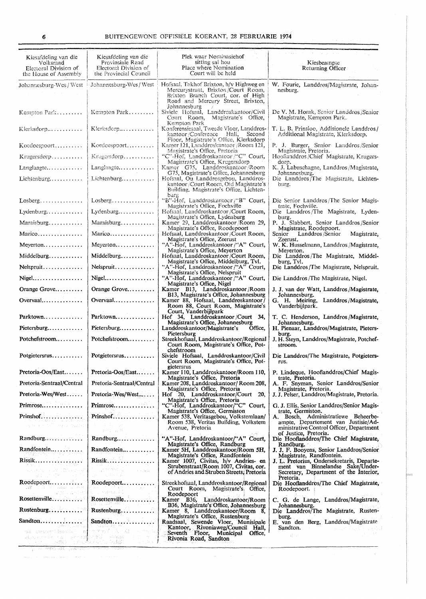| Kiesafdeling van die<br>Volksraad<br>Electoral Division of<br>the House of Assembly            | Kiesafdeling van die<br>Provinsiale Raad<br>Electoral Division of<br>the Provincial Council                                                                | Plek waar Nominasiehof<br>sitting sal hou<br>Place where Nomination<br>Court will be held                                                                      | Kiesbeampte<br>Returning Officer                                                                                                                     |
|------------------------------------------------------------------------------------------------|------------------------------------------------------------------------------------------------------------------------------------------------------------|----------------------------------------------------------------------------------------------------------------------------------------------------------------|------------------------------------------------------------------------------------------------------------------------------------------------------|
| Johannesburg-Wes / West                                                                        | Johannesburg-Wes/West                                                                                                                                      | Hofsaal, Takhof Brixton, h/v Highweg en<br>Mercurystraat, Brixton/Court Room,<br>Brixton Branch Court, cor. of High<br>Road and Mercury Street, Brixton,       | W. Fourie, Landdros/Magistrate, Johan-<br>nesburg.                                                                                                   |
| Kempton Park                                                                                   | Kempton Park                                                                                                                                               | Johannesburg<br>Siviele Hofsaal, Landdroskantoor/Civil<br>Court Room,<br>Magistrate's Office,                                                                  | De V. M. Horak, Senior Landdros/Senior<br>Magistrate, Kempton Park.                                                                                  |
| $K$ ierksdorp $\ldots$                                                                         | Klerksdorp                                                                                                                                                 | Kempton Park<br>Konferensiesaal, Tweede Vloer, Landdros-<br>kantoor/Conference Hall, Second                                                                    | T. L. B. Prinsioo, Addisionele Landdros/<br>Additional Magistrate, Klerksdorp.                                                                       |
| Koedoespoort                                                                                   | Koedoespoort                                                                                                                                               | Floor, Magistrate's Office, Klerksdorp<br>Kamer 121, Landdroskantoor / Room 121,<br>Magistrate's Office, Pretoria                                              | P. J. Burger, Senior Landdros/Senior<br>Magistrate, Pretoria.                                                                                        |
| $Krugersdorp \ldots \ldots$                                                                    | Kragersdorp                                                                                                                                                | "C"-Hof, Landdroskantoor /"C" Court,<br>Magistrate's Office, Krugersdorp                                                                                       | Hooflanddros/Chief Magistrate, Krugers-<br>dorp.                                                                                                     |
| Langlaagte                                                                                     | Langlaagte                                                                                                                                                 | Kamer G75, Landdroskantoor/Room<br>G75, Magistrate's Office, Johannesburg                                                                                      | K. J. Labuschagne, Landdros/Magistrate,<br>Johannesburg.                                                                                             |
| Lichtenburg                                                                                    | Lichtenburg                                                                                                                                                | Hofsaal, Ou Landdrosgebou, Landdros-<br>kantoor /Court Room, Old Magistrate's<br>Building, Magistrate's Office, Lichten-<br>burg                               | Die Landdros/The Magistrate, Lichten-<br>burg,                                                                                                       |
| $Lossberg$                                                                                     | Losberg                                                                                                                                                    | "B"-Hof, Landdroskantocr/"B" Court,<br>Magistrate's Office, Fochville                                                                                          | Die Senior Landdros/The Senior Magis-<br>trate, Fochville.                                                                                           |
| $L$ ydenburg                                                                                   | Lydenburg                                                                                                                                                  | Hofsaal, Landdroskanteor/Court Room,<br>Magistrate's Office, Lydenburg                                                                                         | Die Landdros/The Magistrate, Lyden-<br>burg.                                                                                                         |
| Maraisburg                                                                                     | Maraisburg                                                                                                                                                 | Kamer 29, Landdroskantoor/Room 29,<br>Magistrate's Office, Roodepoort                                                                                          | P. J. Slabbert, Senior Landdros/Senior<br>Magistrate, Roodepoort.                                                                                    |
| Marico                                                                                         | Marico                                                                                                                                                     | Hofsaal, Landdroskantoor/Court Room,<br>Magistrate's Office, Zeerust                                                                                           | Landdros /Senior<br>Senior<br>Magistrate,<br>Zeerust.                                                                                                |
| Meyerton                                                                                       | Meyerton                                                                                                                                                   | "A"-Hof, Landdroskantoor/"A" Court,<br>Magistrate's Office, Meyerton                                                                                           | W. K. Husselmann, Landdros / Magistrate,<br>Meverton.                                                                                                |
| Middelburg                                                                                     | Middelburg                                                                                                                                                 | Hofsaal, Landdroskantoor/Court Room,<br>Magistrate's Office, Middelburg, Tvl.                                                                                  | Die Landdros/The Magistrate, Middel-<br>burg. Tvl.                                                                                                   |
| Nelspruit<br>Nigel                                                                             | Nelspruit<br>Nigel                                                                                                                                         | "A"-Hof, Landdroskantoor /"A" Court,<br>Magistrate's Office, Nelspruit<br>"A"-Hof, Landdroskantoor / "A" Court,                                                | Die Landdros/The Magistrate, Nelspruit.                                                                                                              |
| Orange Grove                                                                                   | Orange Grove                                                                                                                                               | Magistrate's Office, Nigel<br>Kamer B13, Landdroskantoor/Room                                                                                                  | Die Landdros/The Magistrate, Nigel.<br>J. J. van der Watt, Landdros/Magistrate,                                                                      |
| Overvaal                                                                                       | $Overvaal \ldots \ldots$                                                                                                                                   | B13, Magistrate's Office, Johannesburg<br>Kamer 88, Hofsaal, Landdroskantoor/                                                                                  | Johannesburg.<br>G. H. Meiring, Landdros/Magistrate,                                                                                                 |
|                                                                                                |                                                                                                                                                            | Room 88, Court Room, Magistrate's<br>Court, Vanderbijlpark                                                                                                     | Vanderbijlpark.                                                                                                                                      |
| Parktown                                                                                       | Parktown                                                                                                                                                   | Hof 34, Landdroskantoor/Court 34,<br>Magistrate's Office, Johannesburg                                                                                         | T. C. Henderson, Landdros/Magistrate,<br>Johannesburg.                                                                                               |
| Pietersburg                                                                                    | Pietersburg                                                                                                                                                | Landdroskantoor/Magistrate's<br>Office.<br>Pietersburg                                                                                                         | H. Pienaar, Landdros/Magistrate, Pieters-<br>burg.                                                                                                   |
| $Potchefstroom$                                                                                | Potchefstroom                                                                                                                                              | Streekhofsaal, Landdroskantoor/Regional<br>Court Room, Magistrate's Office, Pot-<br>chefstroom                                                                 | J. H. Steyn, Landdros/Magistrate, Potchef-<br>stroom.                                                                                                |
| Potgietersrus                                                                                  | Potgietersrus                                                                                                                                              | Siviele Hofsaal, Landdroskantoor/Civil<br>Court Room, Magistrate's Office, Pot-<br>gietersrus                                                                  | Die Landdros/The Magistrate, Potgieters-<br>rus.                                                                                                     |
| Pretoria-Oos/East                                                                              | Pretoria-Oos/East                                                                                                                                          | Kamer 110, Landdroskantoor/Room 110,<br>Magistrate's Office, Pretoria                                                                                          | P. Lindeque, Hooflanddros/Chief Magis-<br>trate, Pretoria.                                                                                           |
| Pretoria-Sentraal/Central                                                                      | Pretoria-Sentraal/Central                                                                                                                                  | Kamer 208, Landdroskantoor/Room 208,<br>Magistrate's Office, Pretoria                                                                                          | A. F. Snyman, Senior Landdros/Senior<br>Magistrate, Pretoria.                                                                                        |
| $Pretoria-Wes/West$                                                                            | $Pretoria-Wes/West$                                                                                                                                        | Hof 20, Landdroskantoor/Court 20,<br>Magistrate's Office, Pretoria                                                                                             | J. J. Pelser, Landdros/Magistrate, Pretoria.                                                                                                         |
| Primrose                                                                                       | Primrose                                                                                                                                                   | "C"-Hof, Landdroskantoor/"C" Court,<br>Magistrate's Office, Germiston                                                                                          | G. J. Ellis, Senior Landdros/Senior Magis-<br>trate, Germiston.                                                                                      |
| Prinshof<br>i di seyawat 2010 Metuwatet<br>Ayde alim wi <sup>0</sup> l manantata               | Prinshof<br>distances.<br>中产之一致 转。                                                                                                                         | Kamer 538, Veritasgebou, Volkstemlaan/<br>Room 538, Veritas Building, Volkstem<br>Avenue, Pretoria                                                             | A. Bosch, Administratiewe Beheerbe-<br>ampte, Departement van Justisie/Ad-<br>ministrative Control Officer, Department                               |
| Randburg                                                                                       | Randburg                                                                                                                                                   | "A"-Hof, Landdroskantoor/"A" Court,                                                                                                                            | of Justice, Pretoria.<br>Die Hooflanddros/The Chief Magistrate,                                                                                      |
| Randfontein                                                                                    | Randfontein                                                                                                                                                | Magistrate's Office, Randburg<br>Kamer 5H, Landdroskantoor/Room 5H,                                                                                            | Randburg.<br>J. J. F. Booyens, Senior Landdros/Senior                                                                                                |
| ale de la constitución de la constitución                                                      | Rissik<br>, gwernwid - stud                                                                                                                                | Magistrate's Office, Randfontein<br>Kamer 1007, Civitas, h/v Andries- en<br>Strubenstraat/Room 1007, Civitas, cor.<br>of Andries and Struben Streets, Pretoria | Magistrate, Randfontein.<br>J. L. Pretorius, Ondersekretaris, Departe-<br>ment van Binnelandse Sake/Under-<br>Secretary, Department of the Interior, |
| 一回 第1223 (18)<br>ur oli solalla ka                                                             | general Beach<br>Roodepoort<br>main v Tovas osnovljači.<br>Kolovakaratič                                                                                   | Streekhofsaal, Landdroskantoor/Regional<br>Court Room, Magistrate's Office,                                                                                    | Pretoria.<br>Die Hooflanddros/The Chief Magistrate,<br>Roodepoort.                                                                                   |
| Tights (1940-83                                                                                | Rosettenville                                                                                                                                              | Roodepoort<br>Kamer B36, Landdroskantoor/Room                                                                                                                  | C. G. de Lange, Landdros/Magistrate,                                                                                                                 |
| Rustenburg                                                                                     | Rustenburg                                                                                                                                                 | B36, Magistrate's Office, Johannesburg<br>Kamer 8, Landdroskantoor/Room 8,                                                                                     | Johannesburg.<br>Die Landdros/The Magistrate, Rusten-                                                                                                |
| Sandton $, \ldots, \ldots$                                                                     | Sandton                                                                                                                                                    | Magistrate's Office, Rustenburg<br>Raadsaal, Sewende Vloer, Munisipale                                                                                         | burg.<br>E. van den Berg, Landdros/Magistrate                                                                                                        |
| 人名科特 人名伦尔<br>WATER (1985) (1986) Service Service Service<br>The Territory of Technology (1996) | 그 사회의 사원에 가진.<br>ok sedetikovač kravicki kravnik<br>which injected a $\frac{1}{2}$ are appropriately defining as the case of $\frac{1}{2}$<br>sa kilomet 1 | Kantoor, Rivoniaweg/Council Hall,<br>Seventh Floor, Municipal Office,<br>Rivonia Road, Sandton                                                                 | Sandton.<br>그동안에 작은 사람들은 수많<br>$\pm$ 100 $\pm$ 120<br>$\mathcal{X}_1^{\mathcal{X}}$ to $\mathcal{X}_2$                                               |
|                                                                                                |                                                                                                                                                            |                                                                                                                                                                |                                                                                                                                                      |

99

 $\label{eq:1} \mathcal{L}_{\text{max}}(\mathbf{r}_i) = \mathcal{L}_{\text{max}}(\mathbf{r}_i) = \mathcal{L}_{\text{max}}(\mathbf{r}_i) = \mathcal{L}_{\text{max}}(\mathbf{r}_i) = \mathcal{L}_{\text{max}}(\mathbf{r}_i) = \mathcal{L}_{\text{max}}(\mathbf{r}_i)$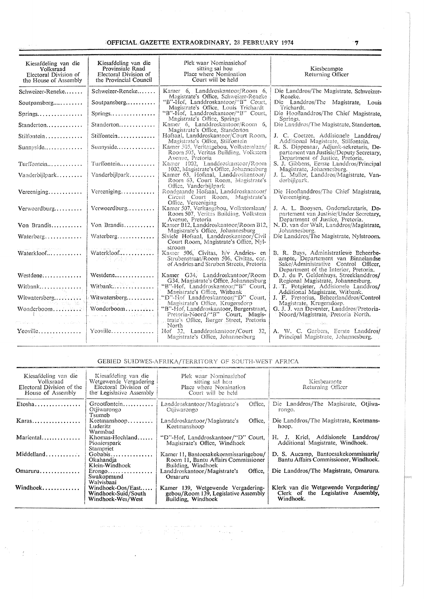# OFFICIAL GAZETTE EXTRAORDINARY, 28 FEBRUARY 1974

 $\langle \omega \rangle \sim 1$ 

| Kiesafdeling van die<br>Volksraad<br>Electoral Division of<br>the House of Assembly                                                                                                                                            | Kiesafdeling van die<br>Provinsiale Raad<br>Electoral Division of<br>the Provincial Council                      | Plek waar Nominasiehof<br>sitting sal hou<br>Place where Nomination<br>Court will be held                                          | Kiesbeampte<br>Returning Officer                                                                                                                             |
|--------------------------------------------------------------------------------------------------------------------------------------------------------------------------------------------------------------------------------|------------------------------------------------------------------------------------------------------------------|------------------------------------------------------------------------------------------------------------------------------------|--------------------------------------------------------------------------------------------------------------------------------------------------------------|
| Schweizer-Reneke                                                                                                                                                                                                               | Schweizer-Reneke                                                                                                 | Kamer 6, Landdroskantoor/Room 6,                                                                                                   | Die Landdros/The Magistrate, Schweizer-                                                                                                                      |
| Soutpansberg $\ldots$                                                                                                                                                                                                          | $S$ outpansberg                                                                                                  | Magistrate's Office, Schweizer-Reneke<br>"B"-Hof, Landdroskantoor/"B" Court,                                                       | Reneke.<br>Die Landdros/The Magistrate, Louis                                                                                                                |
| Springs                                                                                                                                                                                                                        | Springs                                                                                                          | Magistrate's Office, Louis Trichardt<br>"B"-Hof, Landdroskantoor/"B" Court,<br>Magistrate's Office, Springs                        | Trichardt.<br>Die Hooflanddros/The Chief Magistrate,<br>Springs.                                                                                             |
| Standerton                                                                                                                                                                                                                     | Standerton                                                                                                       | Kamer 6, Landdroskantoor/Room 6,<br>Magistrate's Office, Standerton                                                                | Die Landdros/The Magistrate, Standerton.                                                                                                                     |
| Stilfontein                                                                                                                                                                                                                    | Stilfontein                                                                                                      | Hofsaal, Landdroskantoor/Court Room,<br>Magistrate's Office, Stilfontein                                                           | J. C. Coetzee, Addisionele Landdros/<br>Additional Magistrate, Stilfontein,                                                                                  |
| Sunnyside                                                                                                                                                                                                                      | Sunnyside                                                                                                        | Kamer 505, Veritasgebou, Volkstemlaan/<br>Room 505, Veritas Building, Volkstem<br>Avenue, Pretoria                                 | R. S. Dippenaar, Adjunk-sekretaris, De-<br>partement van Justisie/Deputy Secretary,<br>Department of Justice, Pretoria.                                      |
| Turffontein                                                                                                                                                                                                                    | Turffontein                                                                                                      | Kamer 1002, Landdroskantoor/Room<br>1002, Magistrate's Office, Johannesburg                                                        | S. J. Gibbens, Eerste Landdros/Principal<br>Magistrate, Johannesburg,                                                                                        |
| Vanderbiilpark                                                                                                                                                                                                                 | Vanderbijlpark                                                                                                   | Kamer 63, Hofsaal, Landdroskantoor/<br>Room 63, Court Room, Magistrate's<br>Office, Vanderbijlpark                                 | J. L. Muller, Landdros/Magistrate, Van-<br>derbillpark.                                                                                                      |
| Vereeniging                                                                                                                                                                                                                    | Vereeniging                                                                                                      | Rondgaande Hofsaal, Landdroskantoor/<br>Circuit Court Room, Magistrate's<br>Office, Vereeniging                                    | Die Hooflanddros/The Chief Magistrate,<br>Vereeniging.                                                                                                       |
| Verwoerdburg                                                                                                                                                                                                                   | Verwoerdburg                                                                                                     | Kamer 507, Veritasgebou, Volkstemlaan/<br>Room 507, Veritas Building, Volkstem<br>Avenue, Pretoria                                 | J. A. L. Booysen, Ondersekretaris, De-<br>partement van Justisie/Under Secretary,<br>Department of Justice, Pretoria.                                        |
| Von Brandis                                                                                                                                                                                                                    | Von Brandis                                                                                                      | Kamer B12, Landdroskantoor/Room B12,<br>Magistrate's Office, Johannesburg                                                          | N. D. van der Walt, Landdros/Magistrate.<br>Johannesburg.                                                                                                    |
| Waterberg                                                                                                                                                                                                                      | Waterberg                                                                                                        | Siviele Hofsaal, Landdroskantoor/Civil<br>Court Room, Magistrate's Office, Nyl-                                                    | Die Landdros/The Magistrate, Nylstroom.                                                                                                                      |
| Waterkloof                                                                                                                                                                                                                     | $\beta$ is a $\beta$ -depending one sequence of $\beta$ , and $\beta$ , the probability<br>Waterkloof<br>不适于发展的人 | stroom<br>Kamer 506, Civitas, h/v Andries- en<br>Strubenstraat/Room 506, Civitas, cor.<br>of Andries and Struben Streets, Pretoria | B. R. Buys, Administratiewe Beheerbe-<br>ampte, Departement van Binnelandse<br>Sake/Administrative Control Officer,<br>Department of the Interior, Pretoria. |
| Westdene                                                                                                                                                                                                                       | Westdene                                                                                                         | Kamer G34, Landdroskantoor/Room<br>G34, Magistrate's Office, Johannesburg                                                          | D. J. du P. Geldenhuys, Streeklanddros/<br>Regional Magistrate, Johannesburg,                                                                                |
| Witbank                                                                                                                                                                                                                        | Witbank<br>ma i Pilipino aprovi                                                                                  | "B"-Hof, Landdroskantoor/"B" Court,<br>Magistrate's Office, Witbank                                                                | J. T. Potgieter, Addisionele Landdros/<br>Additional Magistrate, Witbank.                                                                                    |
| Witwatersberg<br>a sa mga mga ka                                                                                                                                                                                               | Witwatersberg<br>March 1980, and Alban Colle                                                                     | "D"-Hof Landdroskantoor/"D" Court,<br>Magistrate's Office, Krugersdorp                                                             | J. F. Pretorius, Beheerlanddros/Control<br>Magistrate, Krugersdorp.                                                                                          |
| Wonderboom<br>of the communications of                                                                                                                                                                                         | Wonderboom                                                                                                       | "B"-Hof, Landdroskantoor, Burgerstraat,<br>Pretoria-Noord/"B" Court, Magis-<br>trate's Office, Burger Street, Pretoria             | G. J. J. van Deventer, Landdros/Pretoria-<br>Noord/Magistrate, Pretoria North.                                                                               |
| the physical contracts of the problem of the second contracts of the second contracts of the second contracts of the second contracts of the second contracts of the second contracts of the second contracts of the second co | .<br>1970 - Maria Barat, amerikansk politik                                                                      | North                                                                                                                              |                                                                                                                                                              |
| Yeoville<br><b>County Firms</b>                                                                                                                                                                                                | Yeoville                                                                                                         | Hof 32, Landdroskantoor/Court 32,<br>Magistrate's Office, Johannesburg                                                             | A. W. C. Garbers, Eerste Landdros/<br>Principal Magistrate, Johannesburg,                                                                                    |

# GEBIED SUIDWES-AFRIKA/TERRITORY OF SOUTH-WEST AFRICA

 $\sim 10^{-1}$ 

 $\label{eq:1} \frac{1}{2} \left( \frac{1}{2} \partial_t \nabla \cdot \left( \partial_t \nabla \cdot \nabla \cdot \nabla \cdot \partial_t \nabla \cdot \nabla \cdot \nabla \cdot \nabla \cdot \nabla \cdot \nabla \cdot \nabla \cdot \nabla \cdot \nabla \cdot \nabla \cdot \nabla \cdot \nabla \cdot \nabla \cdot \nabla \cdot \nabla \cdot \nabla \cdot \nabla \cdot \nabla \cdot \nabla \cdot \nabla \cdot \nabla \cdot \nabla \cdot \nabla \cdot \nabla \cdot \nabla \cdot \nabla \cdot \nabla$ 

 $\label{eq:2.1} \begin{array}{c} \mathcal{E}_{\mathcal{L}} \\ \mathcal{E}_{\mathcal{L}} \end{array} \qquad \qquad \begin{array}{c} \mathcal{E}_{\mathcal{L}} \\ \mathcal{E}_{\mathcal{L}} \end{array} \qquad \qquad \mathcal{E}_{\mathcal{L}} \qquad \qquad \mathcal{E}_{\mathcal{L}} \qquad \qquad \mathcal{E}_{\mathcal{L}} \qquad \qquad \mathcal{E}_{\mathcal{L}} \qquad \qquad \mathcal{E}_{\mathcal{L}} \qquad \qquad \mathcal{E}_{\mathcal{L}} \qquad \qquad \mathcal{E}_{\mathcal{L}} \qquad \q$ 

 $\sim$ 

| Kiesafdeling van die<br>Volksraad<br>Electoral Division of the<br>House of Assembly | Kiesafdeling van die<br>Wetgewende Vergadering<br>Electoral Division of<br>the Legislative Assembly | Plek waar Nominasiehof<br>sitting sal hou<br>Place where Nomination<br>Court will be held          | Kiesbeampte<br>Returning Officer                                                         |
|-------------------------------------------------------------------------------------|-----------------------------------------------------------------------------------------------------|----------------------------------------------------------------------------------------------------|------------------------------------------------------------------------------------------|
| $E$ tosha                                                                           | Grootfontein<br>Otiiwarongo<br>Tsumeb                                                               | Office,<br>Landdroskantoor/Magistrate's<br>Otiiwarongo                                             | Die Landdros/The Magistrate, Otiiwa-<br>rongo.                                           |
| Karas                                                                               | Keetmanshoop<br>Luderitz<br>Warmbad                                                                 | Office.<br>Landdroskantoor/Magistrate's<br>Keetmanshoop                                            | Die Landdros/The Magistrate, Keetmans-<br>hoop.                                          |
| Mariental                                                                           | Khomas-Hochland<br>Pionierspark<br>Stampriet                                                        | "D"-Hof, Landdroskantoor/"D" Court,<br>Magistrate's Office, Windhoek                               | H. J. Kriel. Addisionele Landdros/<br>Additional Magistrate, Windhoek,                   |
| Middelland                                                                          | Gobabis<br>Okahandia<br>Klein-Windhoek                                                              | Kamer 11. Bantoesakekommissarisgebou/<br>Room 11, Bantu Affairs Commissioner<br>Building, Windhoek | D. S. Aucamp, Bantoesakekommissaris/<br>Bantu Affairs Commissioner, Windhoek.            |
| Omaruru                                                                             | $Erongo$<br>Swakopmund<br>Walvisbaai                                                                | Office.<br>Landdroskantoor/Magistrate's<br>Omaruru                                                 | Die Landdros/The Magistrate, Omaruru.                                                    |
| Windhoek                                                                            | Windhoek-Oos/East<br>Windhoek-Suid/South<br>Windhoek-Wes/West                                       | Kamer 139, Wetgewende Vergadering-<br>gebou/Room 139, Legislative Assembly<br>Building, Windhoek   | Klerk van die Wetgewende Vergadering/<br>Clerk of the Legislative Assembly,<br>Windhoek. |

 $\label{eq:2.1} \begin{split} \mathbf{u}_1 &= \mathbf{u}_1 + \mathbf{u}_2 + \mathbf{u}_3 + \mathbf{u}_4 = \mathbf{u}_1 + \mathbf{u}_2 + \mathbf{u}_3 + \mathbf{u}_4 = \mathbf{u}_3 + \mathbf{u}_4 = \mathbf{u}_4 = \mathbf{u}_5 = \mathbf{u}_6 = \mathbf{u}_7 = \mathbf{u}_7 = \mathbf{u}_8 = \mathbf{u}_7 = \mathbf{u}_8 = \mathbf{u}_7 = \mathbf{u}_8 = \mathbf{u}_8 = \mathbf{u}_7 = \mathbf{u}_8 = \mathbf{u}_8 = \mathbf{u}_$ 

 $\bar{\mathcal{A}}$